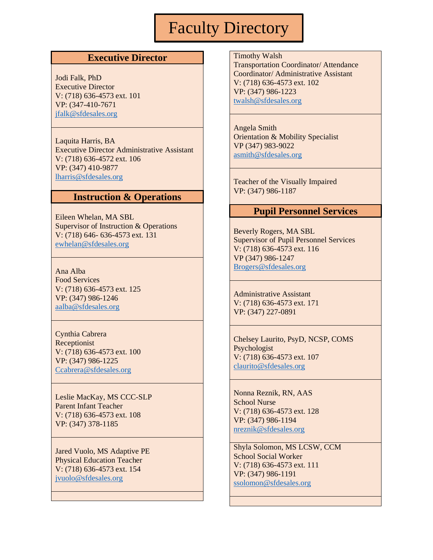# Faculty Directory

## **Executive Director**

Jodi Falk, PhD Executive Director V: (718) 636-4573 ext. 101 VP: (347-410-7671 [jfalk@sfdesales.org](mailto:jfalk@sfdesales.org)

Laquita Harris, BA Executive Director Administrative Assistant V: (718) 636-4572 ext. 106 VP: (347) 410-9877 [lharris@sfdesales.org](mailto:lharris@sfdesales.org)

#### **Instruction & Operations**

Eileen Whelan, MA SBL Supervisor of Instruction & Operations V: (718) 646- 636-4573 ext. 131 [ewhelan@sfdesales.org](mailto:ewhelan@sfdesales.org)

Ana Alba Food Services V: (718) 636-4573 ext. 125 VP: (347) 986-1246 [aalba@sfdesales.org](mailto:aalba@sfdesales.org)

Cynthia Cabrera Receptionist V: (718) 636-4573 ext. 100 VP: (347) 986-1225 [Ccabrera@sfdesales.org](mailto:Ccabrera@sfdesales.org)

Leslie MacKay, MS CCC-SLP Parent Infant Teacher V: (718) 636-4573 ext. 108 VP: (347) 378-1185

Jared Vuolo, MS Adaptive PE Physical Education Teacher V: (718) 636-4573 ext. 154 [jvuolo@sfdesales.org](mailto:jvuolo@sfdesales.org)

Timothy Walsh

Transportation Coordinator/ Attendance Coordinator/ Administrative Assistant V: (718) 636-4573 ext. 102 VP: (347) 986-1223 [twalsh@sfdesales.org](mailto:twalsh@sfdesales.org)

Angela Smith Orientation & Mobility Specialist VP (347) 983-9022 [asmith@sfdesales.org](mailto:asmith@sfdesales.org)

Teacher of the Visually Impaired VP: (347) 986-1187

### **Pupil Personnel Services**

Beverly Rogers, MA SBL Supervisor of Pupil Personnel Services V: (718) 636-4573 ext. 116 VP (347) 986-1247 [Brogers@sfdesales.org](mailto:Brogers@sfdesales.org)

Administrative Assistant V: (718) 636-4573 ext. 171 VP: (347) 227-0891

Chelsey Laurito, PsyD, NCSP, COMS Psychologist V: (718) 636-4573 ext. 107 [claurito@sfdesales.org](mailto:claurito@sfdesales.org)

Nonna Reznik, RN, AAS School Nurse V: (718) 636-4573 ext. 128 VP: (347) 986-1194 [nreznik@sfdesales.org](mailto:nreznik@sfdesales.org)

Shyla Solomon, MS LCSW, CCM School Social Worker V: (718) 636-4573 ext. 111 VP: (347) 986-1191 [ssolomon@sfdesales.org](mailto:ssolomon@sfdesales.org)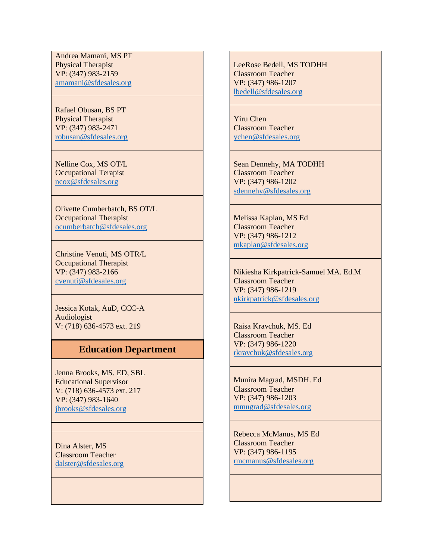Andrea Mamani, MS PT Physical Therapist VP: (347) 983-2159 [amamani@sfdesales.org](mailto:amamani@sfdesales.org)

Rafael Obusan, BS PT Physical Therapist VP: (347) 983-2471 [robusan@sfdesales.org](mailto:robusan@sfdesales.org)

Nelline Cox, MS OT/L Occupational Terapist [ncox@sfdesales.org](mailto:ncox@sfdesales.org)

Olivette Cumberbatch, BS OT/L Occupational Therapist [ocumberbatch@sfdesales.org](mailto:ocumberbatch@sfdesales.org)

Christine Venuti, MS OTR/L Occupational Therapist VP: (347) 983-2166 [cvenuti@sfdesales.org](mailto:cvenuti@sfdesales.org)

Jessica Kotak, AuD, CCC-A Audiologist V: (718) 636-4573 ext. 219

## **Education Department**

Jenna Brooks, MS. ED, SBL Educational Supervisor V: (718) 636-4573 ext. 217 VP: (347) 983-1640 [jbrooks@sfdesales.org](mailto:jbrooks@sfdesales.org)

Dina Alster, MS Classroom Teacher [dalster@sfdesales.org](mailto:dalster@sfdesales.org) LeeRose Bedell, MS TODHH Classroom Teacher VP: (347) 986-1207 [lbedell@sfdesales.org](mailto:lbedell@sfdesales.org)

Yiru Chen Classroom Teacher [ychen@sfdesales.org](mailto:ychen@sfdesales.org)

Sean Dennehy, MA TODHH Classroom Teacher VP: (347) 986-1202 [sdennehy@sfdesales.org](mailto:sdennehy@sfdesales.org)

Melissa Kaplan, MS Ed Classroom Teacher VP: (347) 986-1212 [mkaplan@sfdesales.org](mailto:mkaplan@sfdesales.org)

Nikiesha Kirkpatrick-Samuel MA. Ed.M Classroom Teacher VP: (347) 986-1219 [nkirkpatrick@sfdesales.org](mailto:nkirkpatrick@sfdesales.org)

Raisa Kravchuk, MS. Ed Classroom Teacher VP: (347) 986-1220 [rkravchuk@sfdesales.org](mailto:rkravchuk@sfdesales.org)

Munira Magrad, MSDH. Ed Classroom Teacher VP: (347) 986-1203 [mmugrad@sfdesales.org](mailto:mmugrad@sfdesales.org)

Rebecca McManus, MS Ed Classroom Teacher VP: (347) 986-1195 [rmcmanus@sfdesales.org](mailto:rmcmanus@sfdesales.org)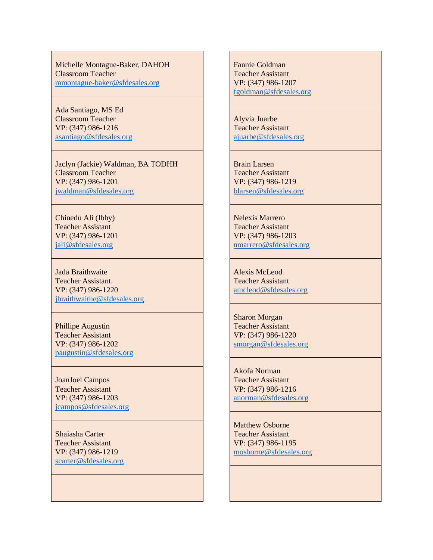Michelle Montague-Baker, DAHOH Classroom Teacher [mmontague-baker@sfdesales.org](mailto:mmontague-baker@sfdesales.org)

Ada Santiago, MS Ed Classroom Teacher VP: (347) 986-1216 [asantiago@sfdesales.org](mailto:asantiago@sfdesales.org)

Jaclyn (Jackie) Waldman, BA TODHH Classroom Teacher VP: (347) 986-1201 [jwaldman@sfdesales.org](mailto:jwaldman@sfdesales.org)

Chinedu Ali (Ibby) Teacher Assistant VP: (347) 986-1201 [jali@sfdesales.org](mailto:jali@sfdesales.org)

Jada Braithwaite Teacher Assistant VP: (347) 986-1220 [jbraithwaithe@sfdesales.org](mailto:jbraithwaithe@sfdesales.org)

Phillipe Augustin Teacher Assistant VP: (347) 986-1202 [paugustin@sfdesales.org](mailto:paugustin@sfdesales.org)

JoanJoel Campos Teacher Assistant VP: (347) 986-1203 [jcampos@sfdesales.org](mailto:jcampos@sfdesales.org)

Shaiasha Carter Teacher Assistant VP: (347) 986-1219 [scarter@sfdesales.org](mailto:scarter@sfdesales.org) Fannie Goldman Teacher Assistant VP: (347) 986-1207 [fgoldman@sfdesales.org](mailto:fgoldman@sfdesales.org)

Alyvia Juarbe Teacher Assistant [ajuarbe@sfdesales.org](mailto:ajuarbe@sfdesales.org)

Brain Larsen Teacher Assistant VP: (347) 986-1219 [blarsen@sfdesales.org](mailto:blarsen@sfdesales.org)

Nelexis Marrero Teacher Assistant VP: (347) 986-1203 [nmarrero@sfdesales.org](mailto:nmarrero@sfdesales.org)

Alexis McLeod Teacher Assistant [amcleod@sfdesales.org](mailto:amcleod@sfdesales.org)

Sharon Morgan Teacher Assistant VP: (347) 986-1220 [smorgan@sfdesales.org](mailto:smorgan@sfdesales.org)

Akofa Norman Teacher Assistant VP: (347) 986-1216 [anorman@sfdesales.org](mailto:anorman@sfdesales.org)

Matthew Osborne Teacher Assistant VP: (347) 986-1195 [mosborne@sfdesales.org](mailto:mosborne@sfdesales.org)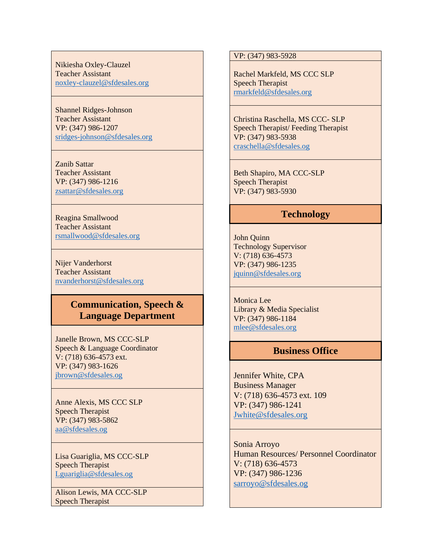Nikiesha Oxley-Clauzel Teacher Assistant [noxley-clauzel@sfdesales.org](mailto:noxley-clauzel@sfdesales.org)

Shannel Ridges-Johnson Teacher Assistant VP: (347) 986-1207 [sridges-johnson@sfdesales.org](mailto:sridges-johnson@sfdesales.org)

Zanib Sattar Teacher Assistant VP: (347) 986-1216 [zsattar@sfdesales.org](mailto:zsattar@sfdesales.org)

Reagina Smallwood Teacher Assistant [rsmallwood@sfdesales.org](mailto:rsmallwood@sfdesales.org)

Nijer Vanderhorst Teacher Assistant [nvanderhorst@sfdesales.org](mailto:nvanderhorst@sfdesales.org)

# **Communication, Speech & Language Department**

Janelle Brown, MS CCC-SLP Speech & Language Coordinator V: (718) 636-4573 ext. VP: (347) 983-1626 [jbrown@sfdesales.og](mailto:jbrown@sfdesales.og)

Anne Alexis, MS CCC SLP Speech Therapist VP: (347) 983-5862 [aa@sfdesales.og](mailto:aa@sfdesales.og)

Lisa Guariglia, MS CCC-SLP Speech Therapist [Lguariglia@sfdesales.og](mailto:Lguariglia@sfdesales.og)

Alison Lewis, MA CCC-SLP Speech Therapist

VP: (347) 983-5928

Rachel Markfeld, MS CCC SLP Speech Therapist [rmarkfeld@sfdesales.org](mailto:rmarkfeld@sfdesales.org)

Christina Raschella, MS CCC- SLP Speech Therapist/ Feeding Therapist VP: (347) 983-5938 [craschella@sfdesales.og](mailto:craschella@sfdesales.og)

Beth Shapiro, MA CCC-SLP Speech Therapist VP: (347) 983-5930

## **Technology**

John Quinn Technology Supervisor V: (718) 636-4573 VP: (347) 986-1235 [jquinn@sfdesales.org](mailto:jquinn@sfdesales.org)

Monica Lee Library & Media Specialist VP: (347) 986-1184 [mlee@sfdesales.org](mailto:mlee@sfdesales.org)

# **Business Office**

Jennifer White, CPA Business Manager V: (718) 636-4573 ext. 109 VP: (347) 986-1241 [Jwhite@sfdesales.org](mailto:Jwhite@sfdesales.org)

Sonia Arroyo Human Resources/ Personnel Coordinator V: (718) 636-4573 VP: (347) 986-1236 [sarroyo@sfdesales.og](mailto:sarroyo@sfdesales.og)